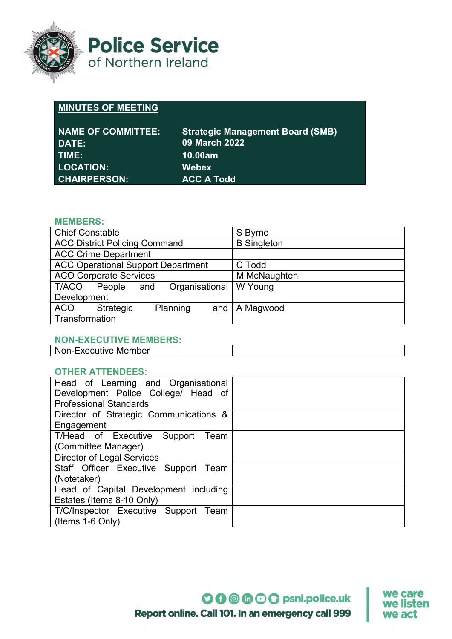

**Police Service** of Northern Ireland

# **MINUTES OF MEETING**

| <b>NAME OF COMMITTEE:</b><br>DATE: | <b>Strategic Management Board (SMB)</b><br><b>09 March 2022</b> |
|------------------------------------|-----------------------------------------------------------------|
| TIME: I                            | 10.00am                                                         |
| <b>LOCATION:</b>                   | <b>Webex</b>                                                    |
| <b>CHAIRPERSON:</b>                | <b>ACC A Todd</b>                                               |

### **MEMBERS:**

| <b>Chief Constable</b>                    | S Byrne            |
|-------------------------------------------|--------------------|
| <b>ACC District Policing Command</b>      | <b>B</b> Singleton |
| <b>ACC Crime Department</b>               |                    |
| <b>ACC Operational Support Department</b> | C Todd             |
| <b>ACO Corporate Services</b>             | M McNaughten       |
| Organisational<br>T/ACO<br>People<br>and  | W Young            |
| Development                               |                    |
| Planning<br>Strategic<br>ACO<br>and $ $   | A Magwood          |
| Transformation                            |                    |

#### **NON-EXECUTIVE MEMBERS:**

| N0<br>Executive Member<br>nn-F |  |
|--------------------------------|--|
|                                |  |

#### **OTHER ATTENDEES:**

| Head of Learning and Organisational    |  |
|----------------------------------------|--|
| Development Police College/ Head of    |  |
| <b>Professional Standards</b>          |  |
| Director of Strategic Communications & |  |
| Engagement                             |  |
| T/Head of Executive Support<br>Team    |  |
| (Committee Manager)                    |  |
| <b>Director of Legal Services</b>      |  |
| Staff Officer Executive Support Team   |  |
| (Notetaker)                            |  |
| Head of Capital Development including  |  |
| Estates (Items 8-10 Only)              |  |
| T/C/Inspector Executive Support Team   |  |
| (Items 1-6 Only)                       |  |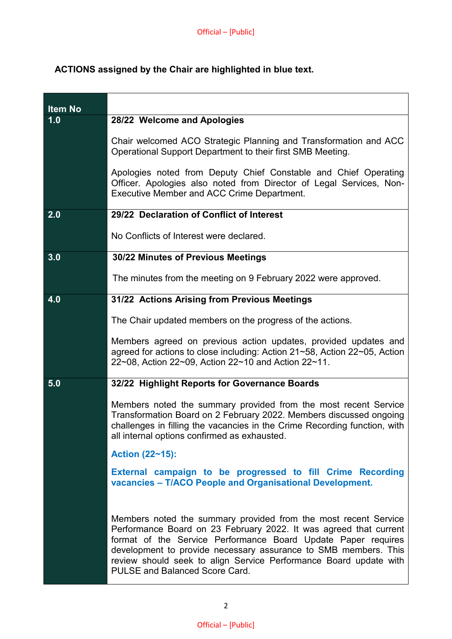## **ACTIONS assigned by the Chair are highlighted in blue text.**

| <b>Item No</b> |                                                                                                                                                                                                                                                                                                                                                                                        |
|----------------|----------------------------------------------------------------------------------------------------------------------------------------------------------------------------------------------------------------------------------------------------------------------------------------------------------------------------------------------------------------------------------------|
| 1.0            | 28/22 Welcome and Apologies                                                                                                                                                                                                                                                                                                                                                            |
|                | Chair welcomed ACO Strategic Planning and Transformation and ACC<br>Operational Support Department to their first SMB Meeting.                                                                                                                                                                                                                                                         |
|                | Apologies noted from Deputy Chief Constable and Chief Operating<br>Officer. Apologies also noted from Director of Legal Services, Non-<br><b>Executive Member and ACC Crime Department.</b>                                                                                                                                                                                            |
| 2.0            | 29/22 Declaration of Conflict of Interest                                                                                                                                                                                                                                                                                                                                              |
|                | No Conflicts of Interest were declared.                                                                                                                                                                                                                                                                                                                                                |
| 3.0            | 30/22 Minutes of Previous Meetings                                                                                                                                                                                                                                                                                                                                                     |
|                | The minutes from the meeting on 9 February 2022 were approved.                                                                                                                                                                                                                                                                                                                         |
| 4.0            | 31/22 Actions Arising from Previous Meetings                                                                                                                                                                                                                                                                                                                                           |
|                | The Chair updated members on the progress of the actions.                                                                                                                                                                                                                                                                                                                              |
|                | Members agreed on previous action updates, provided updates and<br>agreed for actions to close including: Action 21~58, Action 22~05, Action<br>22~08, Action 22~09, Action 22~10 and Action 22~11.                                                                                                                                                                                    |
| 5.0            | 32/22 Highlight Reports for Governance Boards                                                                                                                                                                                                                                                                                                                                          |
|                | Members noted the summary provided from the most recent Service<br>Transformation Board on 2 February 2022. Members discussed ongoing<br>challenges in filling the vacancies in the Crime Recording function, with<br>all internal options confirmed as exhausted.                                                                                                                     |
|                | Action (22~15):                                                                                                                                                                                                                                                                                                                                                                        |
|                | External campaign to be progressed to fill Crime Recording<br>vacancies - T/ACO People and Organisational Development.                                                                                                                                                                                                                                                                 |
|                | Members noted the summary provided from the most recent Service<br>Performance Board on 23 February 2022. It was agreed that current<br>format of the Service Performance Board Update Paper requires<br>development to provide necessary assurance to SMB members. This<br>review should seek to align Service Performance Board update with<br><b>PULSE and Balanced Score Card.</b> |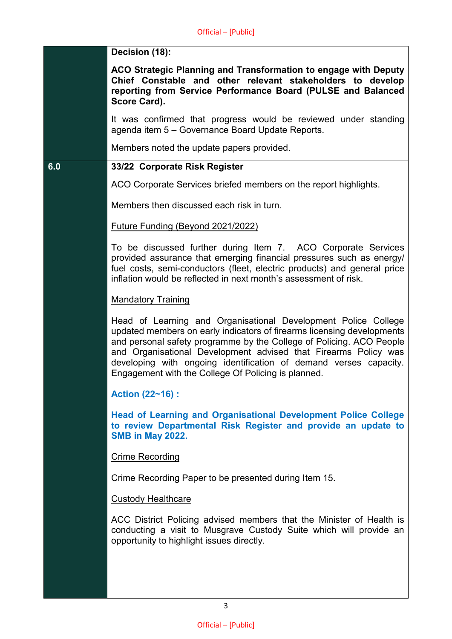|     | Decision (18):                                                                                                                                                                                                                                                                                                                                                                                                  |
|-----|-----------------------------------------------------------------------------------------------------------------------------------------------------------------------------------------------------------------------------------------------------------------------------------------------------------------------------------------------------------------------------------------------------------------|
|     | ACO Strategic Planning and Transformation to engage with Deputy<br>Chief Constable and other relevant stakeholders to develop<br>reporting from Service Performance Board (PULSE and Balanced<br>Score Card).                                                                                                                                                                                                   |
|     | It was confirmed that progress would be reviewed under standing<br>agenda item 5 - Governance Board Update Reports.                                                                                                                                                                                                                                                                                             |
|     | Members noted the update papers provided.                                                                                                                                                                                                                                                                                                                                                                       |
| 6.0 | 33/22 Corporate Risk Register                                                                                                                                                                                                                                                                                                                                                                                   |
|     | ACO Corporate Services briefed members on the report highlights.                                                                                                                                                                                                                                                                                                                                                |
|     | Members then discussed each risk in turn.                                                                                                                                                                                                                                                                                                                                                                       |
|     | <b>Future Funding (Beyond 2021/2022)</b>                                                                                                                                                                                                                                                                                                                                                                        |
|     | To be discussed further during Item 7. ACO Corporate Services<br>provided assurance that emerging financial pressures such as energy/<br>fuel costs, semi-conductors (fleet, electric products) and general price<br>inflation would be reflected in next month's assessment of risk.                                                                                                                           |
|     | <b>Mandatory Training</b>                                                                                                                                                                                                                                                                                                                                                                                       |
|     | Head of Learning and Organisational Development Police College<br>updated members on early indicators of firearms licensing developments<br>and personal safety programme by the College of Policing. ACO People<br>and Organisational Development advised that Firearms Policy was<br>developing with ongoing identification of demand verses capacity.<br>Engagement with the College Of Policing is planned. |
|     | <b>Action (22~16):</b>                                                                                                                                                                                                                                                                                                                                                                                          |
|     | <b>Head of Learning and Organisational Development Police College</b><br>to review Departmental Risk Register and provide an update to<br><b>SMB in May 2022.</b>                                                                                                                                                                                                                                               |
|     | <b>Crime Recording</b>                                                                                                                                                                                                                                                                                                                                                                                          |
|     | Crime Recording Paper to be presented during Item 15.                                                                                                                                                                                                                                                                                                                                                           |
|     | <b>Custody Healthcare</b>                                                                                                                                                                                                                                                                                                                                                                                       |
|     | ACC District Policing advised members that the Minister of Health is<br>conducting a visit to Musgrave Custody Suite which will provide an<br>opportunity to highlight issues directly.                                                                                                                                                                                                                         |
|     |                                                                                                                                                                                                                                                                                                                                                                                                                 |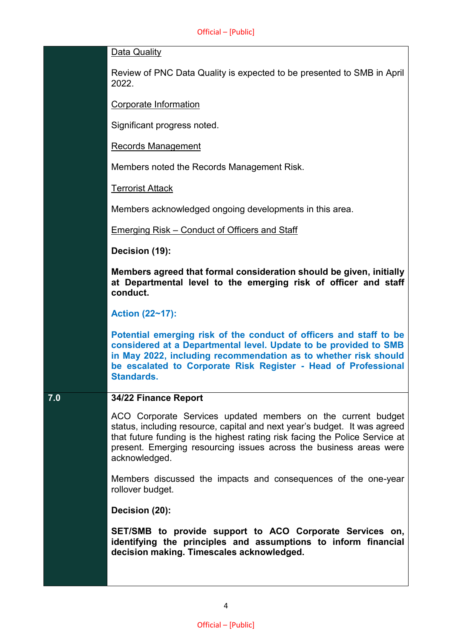| Data Quality |
|--------------|
|              |

Review of PNC Data Quality is expected to be presented to SMB in April 2022.

Corporate Information

Significant progress noted.

Records Management

Members noted the Records Management Risk.

Terrorist Attack

Members acknowledged ongoing developments in this area.

Emerging Risk – Conduct of Officers and Staff

**Decision (19):**

**Members agreed that formal consideration should be given, initially at Departmental level to the emerging risk of officer and staff conduct.**

**Action (22~17):**

**Potential emerging risk of the conduct of officers and staff to be considered at a Departmental level. Update to be provided to SMB in May 2022, including recommendation as to whether risk should be escalated to Corporate Risk Register - Head of Professional Standards.**

#### **7.0 34/22 Finance Report**

ACO Corporate Services updated members on the current budget status, including resource, capital and next year's budget. It was agreed that future funding is the highest rating risk facing the Police Service at present. Emerging resourcing issues across the business areas were acknowledged.

Members discussed the impacts and consequences of the one-year rollover budget.

**Decision (20):**

**SET/SMB to provide support to ACO Corporate Services on, identifying the principles and assumptions to inform financial decision making. Timescales acknowledged.**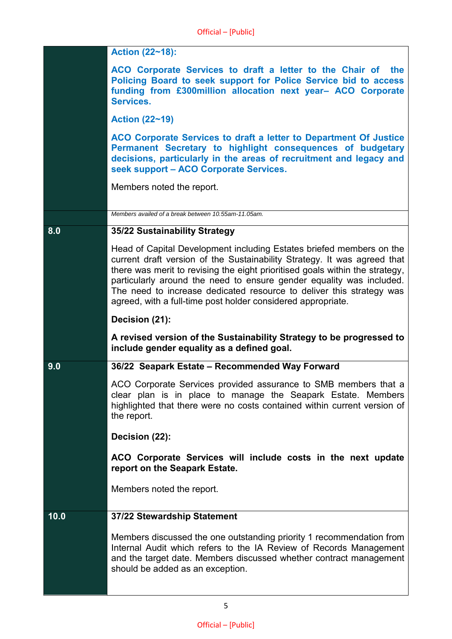|      | Action (22~18):                                                                                                                                                                                                                                                                                                                                                                                                                                  |
|------|--------------------------------------------------------------------------------------------------------------------------------------------------------------------------------------------------------------------------------------------------------------------------------------------------------------------------------------------------------------------------------------------------------------------------------------------------|
|      | ACO Corporate Services to draft a letter to the Chair of<br>the<br>Policing Board to seek support for Police Service bid to access<br>funding from £300million allocation next year- ACO Corporate<br>Services.                                                                                                                                                                                                                                  |
|      | <b>Action (22~19)</b>                                                                                                                                                                                                                                                                                                                                                                                                                            |
|      | ACO Corporate Services to draft a letter to Department Of Justice<br>Permanent Secretary to highlight consequences of budgetary<br>decisions, particularly in the areas of recruitment and legacy and<br>seek support - ACO Corporate Services.                                                                                                                                                                                                  |
|      | Members noted the report.                                                                                                                                                                                                                                                                                                                                                                                                                        |
|      | Members availed of a break between 10.55am-11.05am.                                                                                                                                                                                                                                                                                                                                                                                              |
| 8.0  | 35/22 Sustainability Strategy                                                                                                                                                                                                                                                                                                                                                                                                                    |
|      | Head of Capital Development including Estates briefed members on the<br>current draft version of the Sustainability Strategy. It was agreed that<br>there was merit to revising the eight prioritised goals within the strategy,<br>particularly around the need to ensure gender equality was included.<br>The need to increase dedicated resource to deliver this strategy was<br>agreed, with a full-time post holder considered appropriate. |
|      | Decision (21):                                                                                                                                                                                                                                                                                                                                                                                                                                   |
|      | A revised version of the Sustainability Strategy to be progressed to<br>include gender equality as a defined goal.                                                                                                                                                                                                                                                                                                                               |
| 9.0  | 36/22 Seapark Estate - Recommended Way Forward                                                                                                                                                                                                                                                                                                                                                                                                   |
|      | ACO Corporate Services provided assurance to SMB members that a<br>clear plan is in place to manage the Seapark Estate. Members<br>highlighted that there were no costs contained within current version of<br>the report.                                                                                                                                                                                                                       |
|      | Decision (22):                                                                                                                                                                                                                                                                                                                                                                                                                                   |
|      | ACO Corporate Services will include costs in the next update<br>report on the Seapark Estate.                                                                                                                                                                                                                                                                                                                                                    |
|      | Members noted the report.                                                                                                                                                                                                                                                                                                                                                                                                                        |
| 10.0 | 37/22 Stewardship Statement                                                                                                                                                                                                                                                                                                                                                                                                                      |
|      | Members discussed the one outstanding priority 1 recommendation from<br>Internal Audit which refers to the IA Review of Records Management<br>and the target date. Members discussed whether contract management<br>should be added as an exception.                                                                                                                                                                                             |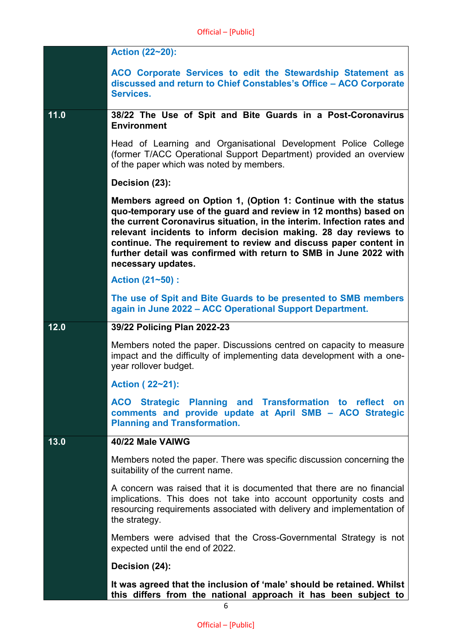|      | <b>Action (22~20):</b>                                                                                                                                                                                                                                                                                                                                                                                                                          |
|------|-------------------------------------------------------------------------------------------------------------------------------------------------------------------------------------------------------------------------------------------------------------------------------------------------------------------------------------------------------------------------------------------------------------------------------------------------|
|      | ACO Corporate Services to edit the Stewardship Statement as<br>discussed and return to Chief Constables's Office - ACO Corporate<br>Services.                                                                                                                                                                                                                                                                                                   |
| 11.0 | 38/22 The Use of Spit and Bite Guards in a Post-Coronavirus<br><b>Environment</b>                                                                                                                                                                                                                                                                                                                                                               |
|      | Head of Learning and Organisational Development Police College<br>(former T/ACC Operational Support Department) provided an overview<br>of the paper which was noted by members.                                                                                                                                                                                                                                                                |
|      | Decision (23):                                                                                                                                                                                                                                                                                                                                                                                                                                  |
|      | Members agreed on Option 1, (Option 1: Continue with the status<br>quo-temporary use of the guard and review in 12 months) based on<br>the current Coronavirus situation, in the interim. Infection rates and<br>relevant incidents to inform decision making. 28 day reviews to<br>continue. The requirement to review and discuss paper content in<br>further detail was confirmed with return to SMB in June 2022 with<br>necessary updates. |
|      | Action (21~50) :                                                                                                                                                                                                                                                                                                                                                                                                                                |
|      | The use of Spit and Bite Guards to be presented to SMB members<br>again in June 2022 - ACC Operational Support Department.                                                                                                                                                                                                                                                                                                                      |
| 12.0 | 39/22 Policing Plan 2022-23                                                                                                                                                                                                                                                                                                                                                                                                                     |
|      | Members noted the paper. Discussions centred on capacity to measure<br>impact and the difficulty of implementing data development with a one-<br>year rollover budget.                                                                                                                                                                                                                                                                          |
|      | Action (22~21):                                                                                                                                                                                                                                                                                                                                                                                                                                 |
|      | Planning and Transformation to reflect on<br><b>ACO</b> Strategic<br>comments and provide update at April SMB - ACO Strategic<br><b>Planning and Transformation.</b>                                                                                                                                                                                                                                                                            |
| 13.0 | 40/22 Male VAIWG                                                                                                                                                                                                                                                                                                                                                                                                                                |
|      | Members noted the paper. There was specific discussion concerning the<br>suitability of the current name.                                                                                                                                                                                                                                                                                                                                       |
|      | A concern was raised that it is documented that there are no financial<br>implications. This does not take into account opportunity costs and<br>resourcing requirements associated with delivery and implementation of<br>the strategy.                                                                                                                                                                                                        |
|      | Members were advised that the Cross-Governmental Strategy is not<br>expected until the end of 2022.                                                                                                                                                                                                                                                                                                                                             |
|      | Decision (24):                                                                                                                                                                                                                                                                                                                                                                                                                                  |
|      | It was agreed that the inclusion of 'male' should be retained. Whilst                                                                                                                                                                                                                                                                                                                                                                           |
|      | this differs from the national approach it has been subject to                                                                                                                                                                                                                                                                                                                                                                                  |

6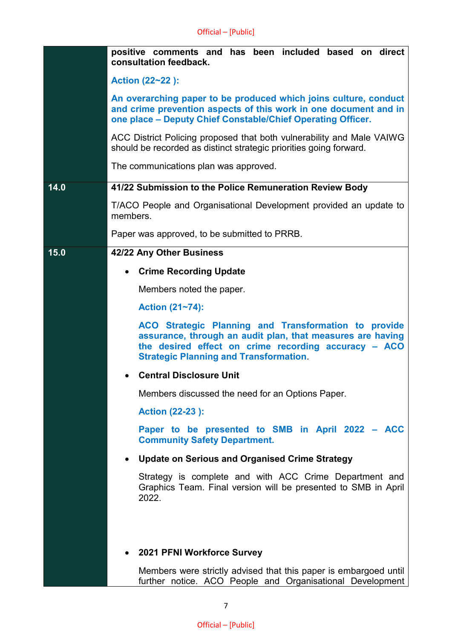|      | positive comments and has been included based on direct<br>consultation feedback.                                                                                                                                           |
|------|-----------------------------------------------------------------------------------------------------------------------------------------------------------------------------------------------------------------------------|
|      | Action (22~22):                                                                                                                                                                                                             |
|      | An overarching paper to be produced which joins culture, conduct<br>and crime prevention aspects of this work in one document and in<br>one place - Deputy Chief Constable/Chief Operating Officer.                         |
|      | ACC District Policing proposed that both vulnerability and Male VAIWG<br>should be recorded as distinct strategic priorities going forward.                                                                                 |
|      | The communications plan was approved.                                                                                                                                                                                       |
| 14.0 | 41/22 Submission to the Police Remuneration Review Body                                                                                                                                                                     |
|      | T/ACO People and Organisational Development provided an update to<br>members.                                                                                                                                               |
|      | Paper was approved, to be submitted to PRRB.                                                                                                                                                                                |
| 15.0 | 42/22 Any Other Business                                                                                                                                                                                                    |
|      | <b>Crime Recording Update</b>                                                                                                                                                                                               |
|      | Members noted the paper.                                                                                                                                                                                                    |
|      | Action (21~74):                                                                                                                                                                                                             |
|      | ACO Strategic Planning and Transformation to provide<br>assurance, through an audit plan, that measures are having<br>the desired effect on crime recording accuracy - ACO<br><b>Strategic Planning and Transformation.</b> |
|      | <b>Central Disclosure Unit</b>                                                                                                                                                                                              |
|      | Members discussed the need for an Options Paper.                                                                                                                                                                            |
|      | <b>Action (22-23):</b>                                                                                                                                                                                                      |
|      | Paper to be presented to SMB in April 2022 - ACC<br><b>Community Safety Department.</b>                                                                                                                                     |
|      | <b>Update on Serious and Organised Crime Strategy</b><br>$\bullet$                                                                                                                                                          |
|      | Strategy is complete and with ACC Crime Department and<br>Graphics Team. Final version will be presented to SMB in April<br>2022.                                                                                           |
|      |                                                                                                                                                                                                                             |
|      |                                                                                                                                                                                                                             |
|      | 2021 PFNI Workforce Survey                                                                                                                                                                                                  |
|      | Members were strictly advised that this paper is embargoed until                                                                                                                                                            |

further notice. ACO People and Organisational Development